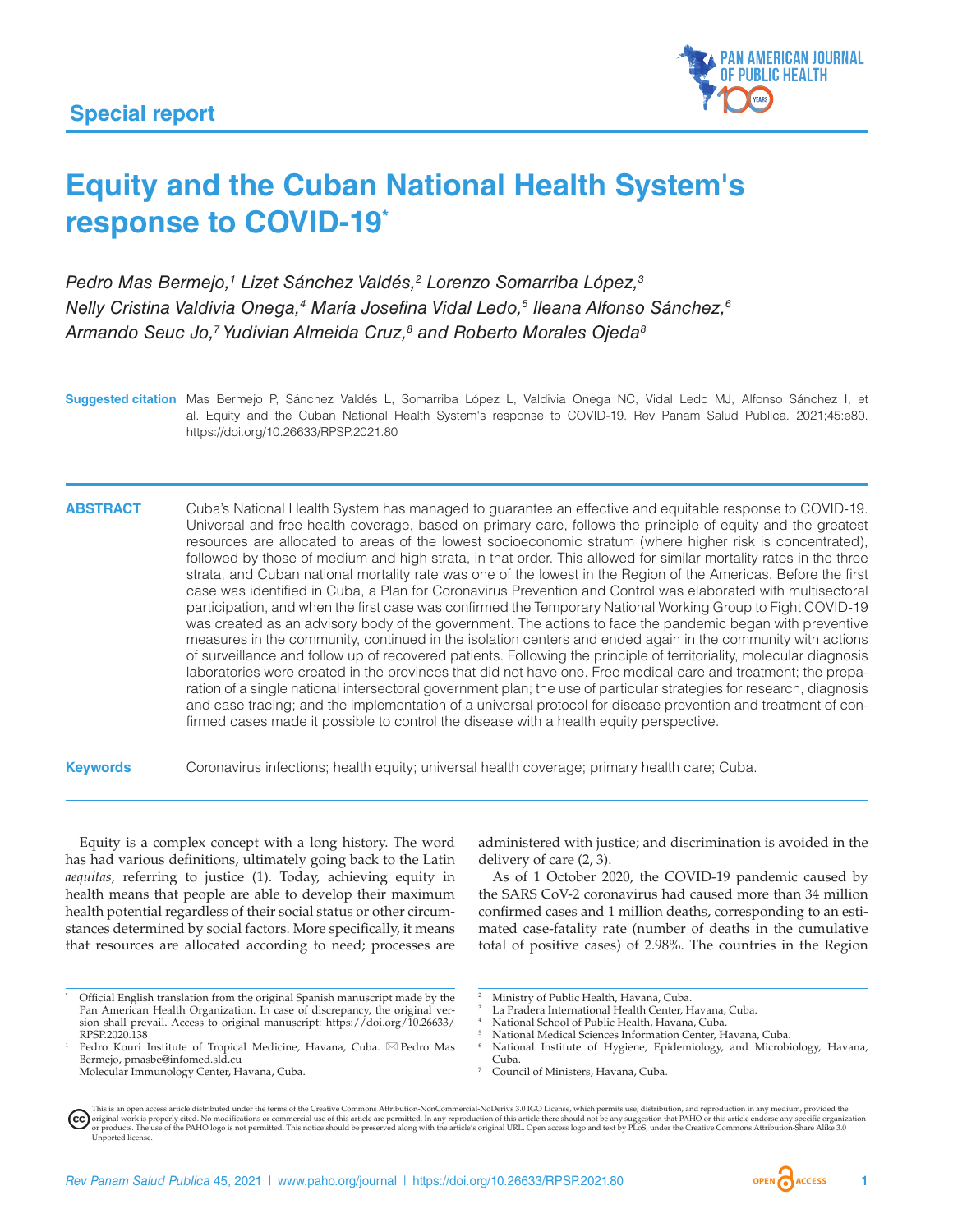

# **Equity and the Cuban National Health System's response to COVID-19\***

*Pedro Mas Bermejo,1 Lizet Sánchez Valdés,2 Lorenzo Somarriba López,3 Nelly Cristina Valdivia Onega,4 María Josefina Vidal Ledo,5 Ileana Alfonso Sánchez,6 Armando Seuc Jo,7 Yudivian Almeida Cruz,8 and Roberto Morales Ojeda8*

**Suggested citation** Mas Bermejo P, Sánchez Valdés L, Somarriba López L, Valdivia Onega NC, Vidal Ledo MJ, Alfonso Sánchez I, et al. Equity and the Cuban National Health System's response to COVID-19. Rev Panam Salud Publica. 2021;45:e80. <https://doi.org/10.26633/RPSP.2021.80>

**ABSTRACT** Cuba's National Health System has managed to guarantee an effective and equitable response to COVID-19. Universal and free health coverage, based on primary care, follows the principle of equity and the greatest resources are allocated to areas of the lowest socioeconomic stratum (where higher risk is concentrated), followed by those of medium and high strata, in that order. This allowed for similar mortality rates in the three strata, and Cuban national mortality rate was one of the lowest in the Region of the Americas. Before the first case was identified in Cuba, a Plan for Coronavirus Prevention and Control was elaborated with multisectoral participation, and when the first case was confirmed the Temporary National Working Group to Fight COVID-19 was created as an advisory body of the government. The actions to face the pandemic began with preventive measures in the community, continued in the isolation centers and ended again in the community with actions of surveillance and follow up of recovered patients. Following the principle of territoriality, molecular diagnosis laboratories were created in the provinces that did not have one. Free medical care and treatment; the preparation of a single national intersectoral government plan; the use of particular strategies for research, diagnosis and case tracing; and the implementation of a universal protocol for disease prevention and treatment of confirmed cases made it possible to control the disease with a health equity perspective.

**Keywords** Coronavirus infections; health equity; universal health coverage; primary health care; Cuba.

Equity is a complex concept with a long history. The word has had various definitions, ultimately going back to the Latin *aequitas*, referring to justice (1). Today, achieving equity in health means that people are able to develop their maximum health potential regardless of their social status or other circumstances determined by social factors. More specifically, it means that resources are allocated according to need; processes are

administered with justice; and discrimination is avoided in the delivery of care (2, 3).

As of 1 October 2020, the COVID-19 pandemic caused by the SARS CoV-2 coronavirus had caused more than 34 million confirmed cases and 1 million deaths, corresponding to an estimated case-fatality rate (number of deaths in the cumulative total of positive cases) of 2.98%. The countries in the Region

- La Pradera International Health Center, Havana, Cuba.
- National School of Public Health, Havana, Cuba.
- National Medical Sciences Information Center, Havana, Cuba.
- National Institute of Hygiene, Epidemiology, and Microbiology, Havana, Cuba.
- <sup>7</sup> Council of Ministers, Havana, Cuba.

Official English translation from the original Spanish manuscript made by the Pan American Health Organization. In case of discrepancy, the original version shall prevail. Access to original manuscript: [https://doi.org/10.26633/](https://doi.org/10.26633/RPSP.2020.138) [RPSP.2020.138](https://doi.org/10.26633/RPSP.2020.138)

<sup>&</sup>lt;sup>1</sup> Pedro Kouri Institute of Tropical Medicine, Havana, Cuba.  $\boxtimes$  Pedro Mas Bermejo, pmasbe@infomed.sld.cu

Molecular Immunology Center, Havana, Cuba.

Ministry of Public Health, Havana, Cuba.

This is an open access article distributed under the terms of the [Creative Commons Attribution-NonCommercial-NoDerivs 3.0 IGO](https://creativecommons.org/licenses/by-nc-nd/3.0/igo/legalcode) License, which permits use, distribution, and reproduction in any medium, provided the original work is properly cited. No modifications or commercial use of this article are permitted. In any reproduction of this article there should not be any suggestion that PAHO or this article endorse any specific organ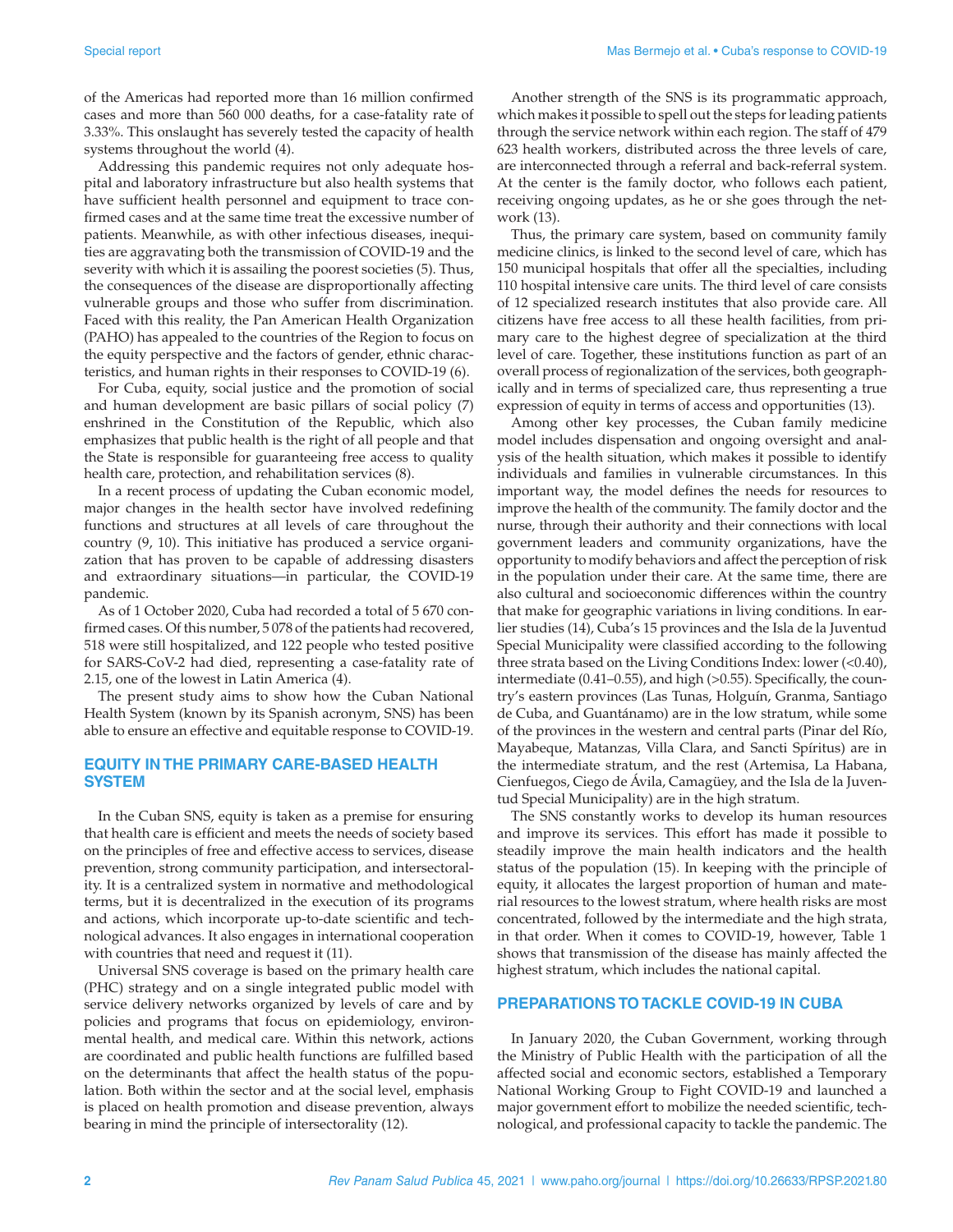of the Americas had reported more than 16 million confirmed cases and more than 560 000 deaths, for a case-fatality rate of 3.33%. This onslaught has severely tested the capacity of health systems throughout the world (4).

Addressing this pandemic requires not only adequate hospital and laboratory infrastructure but also health systems that have sufficient health personnel and equipment to trace confirmed cases and at the same time treat the excessive number of patients. Meanwhile, as with other infectious diseases, inequities are aggravating both the transmission of COVID-19 and the severity with which it is assailing the poorest societies (5). Thus, the consequences of the disease are disproportionally affecting vulnerable groups and those who suffer from discrimination. Faced with this reality, the Pan American Health Organization (PAHO) has appealed to the countries of the Region to focus on the equity perspective and the factors of gender, ethnic characteristics, and human rights in their responses to COVID-19 (6).

For Cuba, equity, social justice and the promotion of social and human development are basic pillars of social policy (7) enshrined in the Constitution of the Republic, which also emphasizes that public health is the right of all people and that the State is responsible for guaranteeing free access to quality health care, protection, and rehabilitation services (8).

In a recent process of updating the Cuban economic model, major changes in the health sector have involved redefining functions and structures at all levels of care throughout the country (9, 10). This initiative has produced a service organization that has proven to be capable of addressing disasters and extraordinary situations—in particular, the COVID-19 pandemic.

As of 1 October 2020, Cuba had recorded a total of 5 670 confirmed cases. Of this number, 5 078 of the patients had recovered, 518 were still hospitalized, and 122 people who tested positive for SARS-CoV-2 had died, representing a case-fatality rate of 2.15, one of the lowest in Latin America (4).

The present study aims to show how the Cuban National Health System (known by its Spanish acronym, SNS) has been able to ensure an effective and equitable response to COVID-19.

### **EQUITY IN THE PRIMARY CARE-BASED HEALTH SYSTEM**

In the Cuban SNS, equity is taken as a premise for ensuring that health care is efficient and meets the needs of society based on the principles of free and effective access to services, disease prevention, strong community participation, and intersectorality. It is a centralized system in normative and methodological terms, but it is decentralized in the execution of its programs and actions, which incorporate up-to-date scientific and technological advances. It also engages in international cooperation with countries that need and request it (11).

Universal SNS coverage is based on the primary health care (PHC) strategy and on a single integrated public model with service delivery networks organized by levels of care and by policies and programs that focus on epidemiology, environmental health, and medical care. Within this network, actions are coordinated and public health functions are fulfilled based on the determinants that affect the health status of the population. Both within the sector and at the social level, emphasis is placed on health promotion and disease prevention, always bearing in mind the principle of intersectorality (12).

Another strength of the SNS is its programmatic approach, which makes it possible to spell out the steps for leading patients through the service network within each region. The staff of 479 623 health workers, distributed across the three levels of care, are interconnected through a referral and back-referral system. At the center is the family doctor, who follows each patient, receiving ongoing updates, as he or she goes through the network (13).

Thus, the primary care system, based on community family medicine clinics, is linked to the second level of care, which has 150 municipal hospitals that offer all the specialties, including 110 hospital intensive care units. The third level of care consists of 12 specialized research institutes that also provide care. All citizens have free access to all these health facilities, from primary care to the highest degree of specialization at the third level of care. Together, these institutions function as part of an overall process of regionalization of the services, both geographically and in terms of specialized care, thus representing a true expression of equity in terms of access and opportunities (13).

Among other key processes, the Cuban family medicine model includes dispensation and ongoing oversight and analysis of the health situation, which makes it possible to identify individuals and families in vulnerable circumstances. In this important way, the model defines the needs for resources to improve the health of the community. The family doctor and the nurse, through their authority and their connections with local government leaders and community organizations, have the opportunity to modify behaviors and affect the perception of risk in the population under their care. At the same time, there are also cultural and socioeconomic differences within the country that make for geographic variations in living conditions. In earlier studies (14), Cuba's 15 provinces and the Isla de la Juventud Special Municipality were classified according to the following three strata based on the Living Conditions Index: lower (<0.40), intermediate (0.41–0.55), and high (>0.55). Specifically, the country's eastern provinces (Las Tunas, Holguín, Granma, Santiago de Cuba, and Guantánamo) are in the low stratum, while some of the provinces in the western and central parts (Pinar del Río, Mayabeque, Matanzas, Villa Clara, and Sancti Spíritus) are in the intermediate stratum, and the rest (Artemisa, La Habana, Cienfuegos, Ciego de Ávila, Camagüey, and the Isla de la Juventud Special Municipality) are in the high stratum.

The SNS constantly works to develop its human resources and improve its services. This effort has made it possible to steadily improve the main health indicators and the health status of the population (15). In keeping with the principle of equity, it allocates the largest proportion of human and material resources to the lowest stratum, where health risks are most concentrated, followed by the intermediate and the high strata, in that order. When it comes to COVID-19, however, Table 1 shows that transmission of the disease has mainly affected the highest stratum, which includes the national capital.

### **PREPARATIONS TO TACKLE COVID-19 IN CUBA**

In January 2020, the Cuban Government, working through the Ministry of Public Health with the participation of all the affected social and economic sectors, established a Temporary National Working Group to Fight COVID-19 and launched a major government effort to mobilize the needed scientific, technological, and professional capacity to tackle the pandemic. The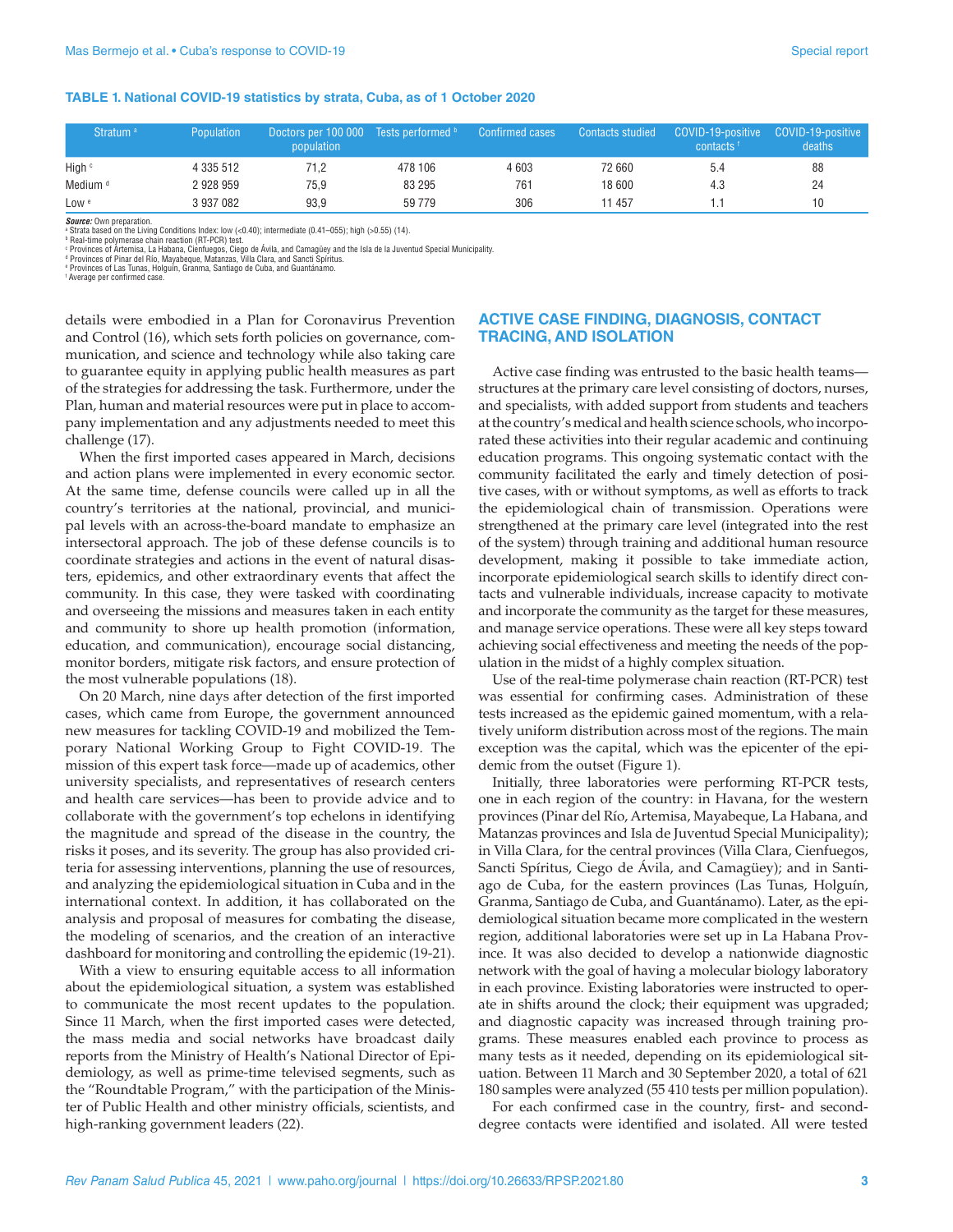#### **TABLE 1. National COVID-19 statistics by strata, Cuba, as of 1 October 2020**

| Stratum <sup>a</sup> | <b>Population</b> | Doctors per 100 000 Tests performed b<br><b>population</b> |         | <b>Confirmed cases</b> |        | Contacts studied COVID-19-positive COVID-19-positive<br>contacts <sup>f</sup> | deaths |
|----------------------|-------------------|------------------------------------------------------------|---------|------------------------|--------|-------------------------------------------------------------------------------|--------|
| High c               | 4 335 512         | 71.2                                                       | 478 106 | 4603                   | 72 660 | 5.4                                                                           | 88     |
| Medium <sup>d</sup>  | 2928959           | 75.9                                                       | 83 295  | 761                    | 18 600 | 4.3                                                                           | 24     |
| Low <sup>e</sup>     | 3 937 082         | 93.9                                                       | 59 779  | 306                    | 11 457 |                                                                               | 10     |

*Source:* Own preparation.

a Strata based on the Living Conditions Index: low (<0.40); intermediate (0.41–055); high (>0.55) (14).

ª Real-time polymerase chain reaction (RT-PCR) test.<br>? Provinces of Artemisa, La Habana, Cienfuegos, Ciego de Ávila, and Camagüey and the Isla de la Juventud Special Municipality.<br>ª Provinces of Pinar del Río, Mayabeque, M

e Provinces of Las Tunas, Holguín, Granma, Santiago de Cuba, and Guantánamo.

f Average per confirmed case.

details were embodied in a Plan for Coronavirus Prevention and Control (16), which sets forth policies on governance, communication, and science and technology while also taking care to guarantee equity in applying public health measures as part of the strategies for addressing the task. Furthermore, under the Plan, human and material resources were put in place to accompany implementation and any adjustments needed to meet this challenge (17).

When the first imported cases appeared in March, decisions and action plans were implemented in every economic sector. At the same time, defense councils were called up in all the country's territories at the national, provincial, and municipal levels with an across-the-board mandate to emphasize an intersectoral approach. The job of these defense councils is to coordinate strategies and actions in the event of natural disasters, epidemics, and other extraordinary events that affect the community. In this case, they were tasked with coordinating and overseeing the missions and measures taken in each entity and community to shore up health promotion (information, education, and communication), encourage social distancing, monitor borders, mitigate risk factors, and ensure protection of the most vulnerable populations (18).

On 20 March, nine days after detection of the first imported cases, which came from Europe, the government announced new measures for tackling COVID-19 and mobilized the Temporary National Working Group to Fight COVID-19. The mission of this expert task force—made up of academics, other university specialists, and representatives of research centers and health care services—has been to provide advice and to collaborate with the government's top echelons in identifying the magnitude and spread of the disease in the country, the risks it poses, and its severity. The group has also provided criteria for assessing interventions, planning the use of resources, and analyzing the epidemiological situation in Cuba and in the international context. In addition, it has collaborated on the analysis and proposal of measures for combating the disease, the modeling of scenarios, and the creation of an interactive dashboard for monitoring and controlling the epidemic (19-21).

With a view to ensuring equitable access to all information about the epidemiological situation, a system was established to communicate the most recent updates to the population. Since 11 March, when the first imported cases were detected, the mass media and social networks have broadcast daily reports from the Ministry of Health's National Director of Epidemiology, as well as prime-time televised segments, such as the "Roundtable Program," with the participation of the Minister of Public Health and other ministry officials, scientists, and high-ranking government leaders (22).

#### **ACTIVE CASE FINDING, DIAGNOSIS, CONTACT TRACING, AND ISOLATION**

Active case finding was entrusted to the basic health teams structures at the primary care level consisting of doctors, nurses, and specialists, with added support from students and teachers at the country's medical and health science schools, who incorporated these activities into their regular academic and continuing education programs. This ongoing systematic contact with the community facilitated the early and timely detection of positive cases, with or without symptoms, as well as efforts to track the epidemiological chain of transmission. Operations were strengthened at the primary care level (integrated into the rest of the system) through training and additional human resource development, making it possible to take immediate action, incorporate epidemiological search skills to identify direct contacts and vulnerable individuals, increase capacity to motivate and incorporate the community as the target for these measures, and manage service operations. These were all key steps toward achieving social effectiveness and meeting the needs of the population in the midst of a highly complex situation.

Use of the real-time polymerase chain reaction (RT-PCR) test was essential for confirming cases. Administration of these tests increased as the epidemic gained momentum, with a relatively uniform distribution across most of the regions. The main exception was the capital, which was the epicenter of the epidemic from the outset (Figure 1).

Initially, three laboratories were performing RT-PCR tests, one in each region of the country: in Havana, for the western provinces (Pinar del Río, Artemisa, Mayabeque, La Habana, and Matanzas provinces and Isla de Juventud Special Municipality); in Villa Clara, for the central provinces (Villa Clara, Cienfuegos, Sancti Spíritus, Ciego de Ávila, and Camagüey); and in Santiago de Cuba, for the eastern provinces (Las Tunas, Holguín, Granma, Santiago de Cuba, and Guantánamo). Later, as the epidemiological situation became more complicated in the western region, additional laboratories were set up in La Habana Province. It was also decided to develop a nationwide diagnostic network with the goal of having a molecular biology laboratory in each province. Existing laboratories were instructed to operate in shifts around the clock; their equipment was upgraded; and diagnostic capacity was increased through training programs. These measures enabled each province to process as many tests as it needed, depending on its epidemiological situation. Between 11 March and 30 September 2020, a total of 621 180 samples were analyzed (55 410 tests per million population).

For each confirmed case in the country, first- and seconddegree contacts were identified and isolated. All were tested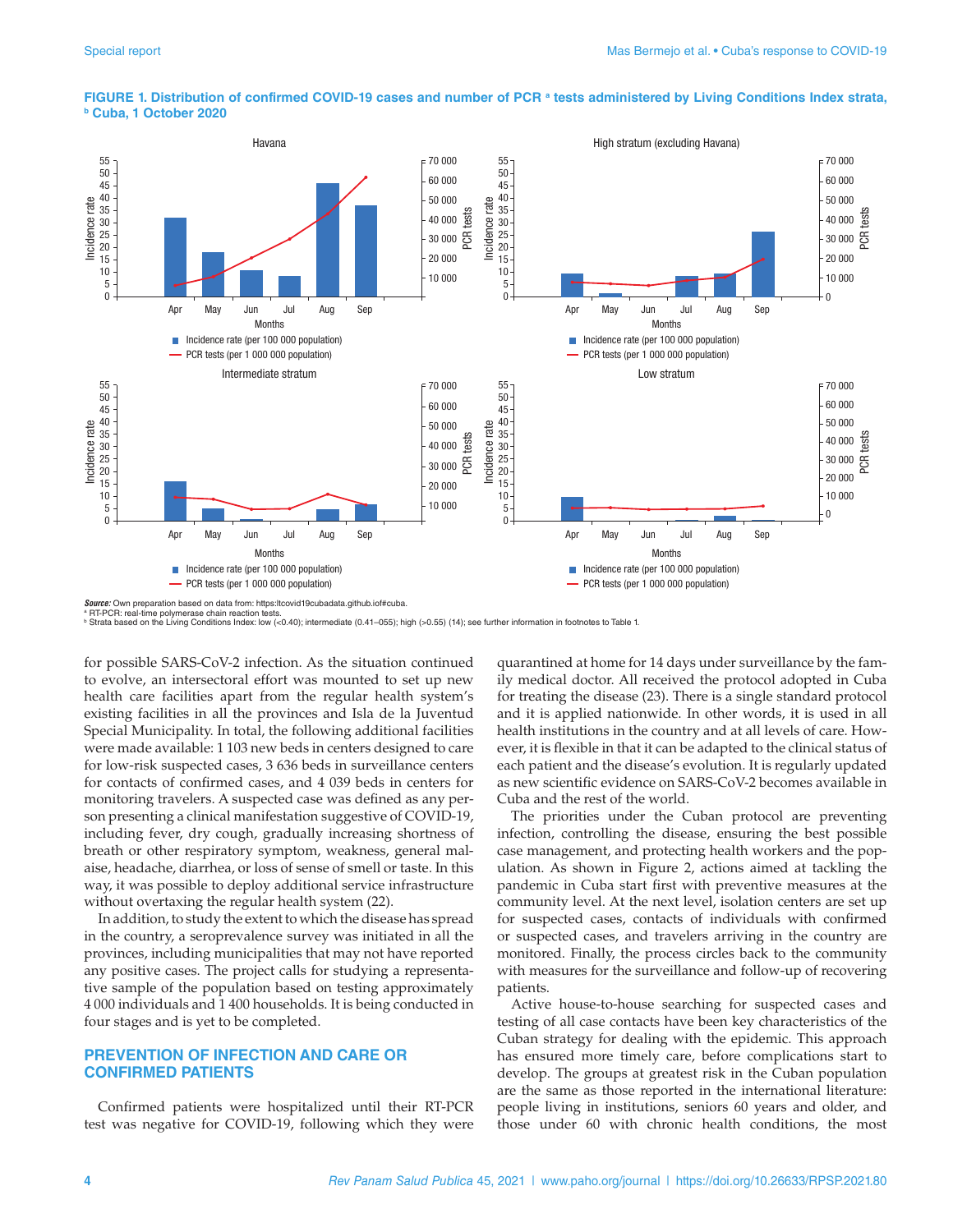

# FIGURE 1. Distribution of confirmed COVID-19 cases and number of PCR ª tests administered by Living Conditions Index strata,<br><sup>b</sup> Cuba, 1 October 2020

 $s$ : Own preparation based on data from: <https:ltcovid19cubadata.github.iof#cuba> <sup>a</sup> RT-PCR: real-time polymerase chain reaction tests.

b Strata based on the Living Conditions Index: low (<0.40); intermediate (0.41–055); high (>0.55) (14); see further information in footnotes to Table 1.

for possible SARS-CoV-2 infection. As the situation continued to evolve, an intersectoral effort was mounted to set up new health care facilities apart from the regular health system's existing facilities in all the provinces and Isla de la Juventud Special Municipality. In total, the following additional facilities were made available: 1 103 new beds in centers designed to care for low-risk suspected cases, 3 636 beds in surveillance centers for contacts of confirmed cases, and 4 039 beds in centers for monitoring travelers. A suspected case was defined as any person presenting a clinical manifestation suggestive of COVID-19, including fever, dry cough, gradually increasing shortness of breath or other respiratory symptom, weakness, general malaise, headache, diarrhea, or loss of sense of smell or taste. In this way, it was possible to deploy additional service infrastructure without overtaxing the regular health system (22).

In addition, to study the extent to which the disease has spread in the country, a seroprevalence survey was initiated in all the provinces, including municipalities that may not have reported any positive cases. The project calls for studying a representative sample of the population based on testing approximately 4 000 individuals and 1 400 households. It is being conducted in four stages and is yet to be completed.

#### **PREVENTION OF INFECTION AND CARE OR CONFIRMED PATIENTS**

Confirmed patients were hospitalized until their RT-PCR test was negative for COVID-19, following which they were quarantined at home for 14 days under surveillance by the family medical doctor. All received the protocol adopted in Cuba for treating the disease (23). There is a single standard protocol and it is applied nationwide. In other words, it is used in all health institutions in the country and at all levels of care. However, it is flexible in that it can be adapted to the clinical status of each patient and the disease's evolution. It is regularly updated as new scientific evidence on SARS-CoV-2 becomes available in Cuba and the rest of the world.

The priorities under the Cuban protocol are preventing infection, controlling the disease, ensuring the best possible case management, and protecting health workers and the population. As shown in Figure 2, actions aimed at tackling the pandemic in Cuba start first with preventive measures at the community level. At the next level, isolation centers are set up for suspected cases, contacts of individuals with confirmed or suspected cases, and travelers arriving in the country are monitored. Finally, the process circles back to the community with measures for the surveillance and follow-up of recovering patients.

Active house-to-house searching for suspected cases and testing of all case contacts have been key characteristics of the Cuban strategy for dealing with the epidemic. This approach has ensured more timely care, before complications start to develop. The groups at greatest risk in the Cuban population are the same as those reported in the international literature: people living in institutions, seniors 60 years and older, and those under 60 with chronic health conditions, the most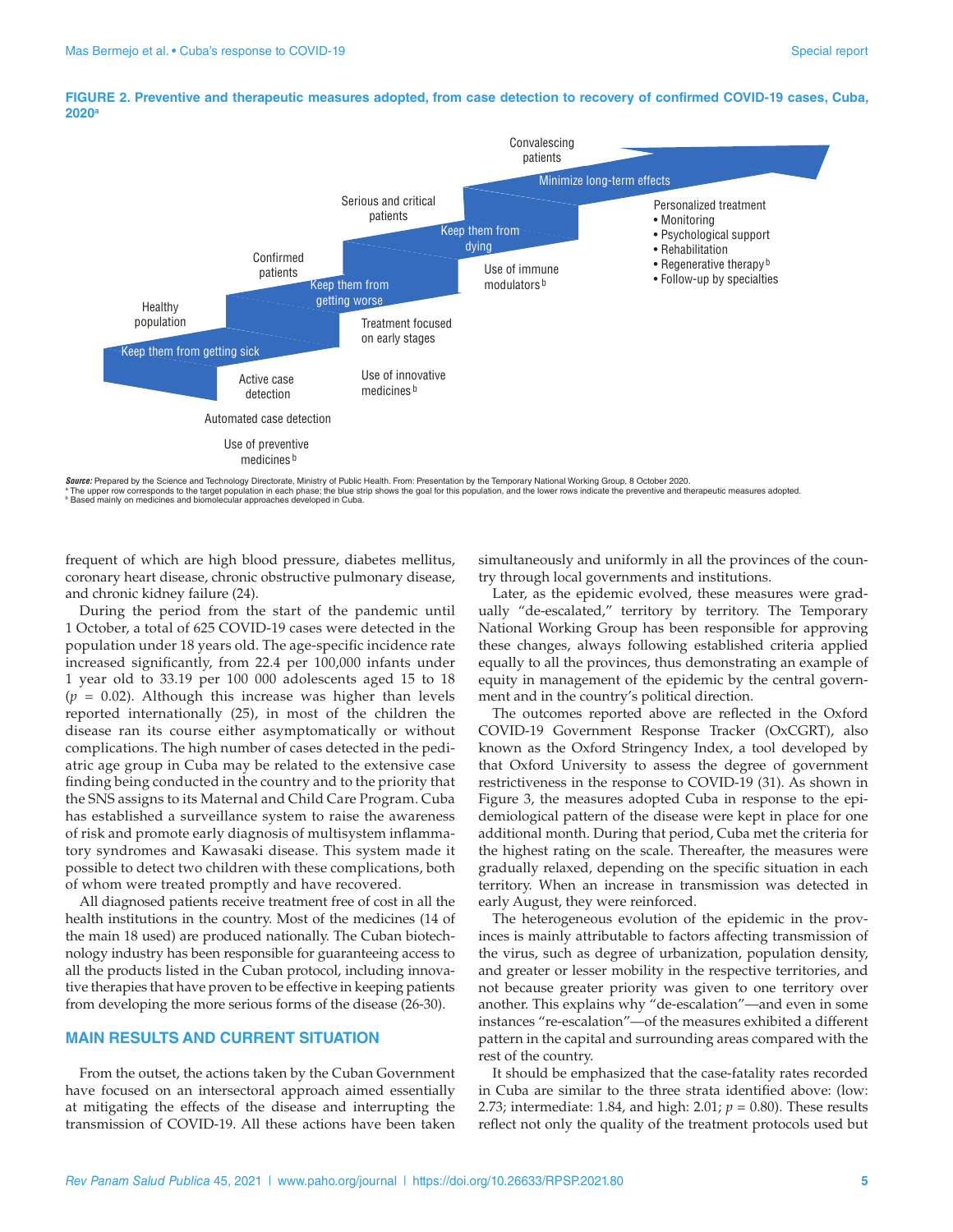

#### **FIGURE 2. Preventive and therapeutic measures adopted, from case detection to recovery of confirmed COVID-19 cases, Cuba, 2020a**

*Source:* Prepared by the Science and Technology Directorate, Ministry of Public Health. From: Presentation by the Temporary National Working Group, 8 October 2020. ª The upper row corresponds to the target population in each phase; the blue strip shows the goal for this population, and the lower rows indicate the preventive and therapeutic measures adopted.<br>ª Based mainly on medicine

frequent of which are high blood pressure, diabetes mellitus, coronary heart disease, chronic obstructive pulmonary disease, and chronic kidney failure (24).

During the period from the start of the pandemic until 1 October, a total of 625 COVID-19 cases were detected in the population under 18 years old. The age-specific incidence rate increased significantly, from 22.4 per 100,000 infants under 1 year old to 33.19 per 100 000 adolescents aged 15 to 18 (*p* = 0.02). Although this increase was higher than levels reported internationally (25), in most of the children the disease ran its course either asymptomatically or without complications. The high number of cases detected in the pediatric age group in Cuba may be related to the extensive case finding being conducted in the country and to the priority that the SNS assigns to its Maternal and Child Care Program. Cuba has established a surveillance system to raise the awareness of risk and promote early diagnosis of multisystem inflammatory syndromes and Kawasaki disease. This system made it possible to detect two children with these complications, both of whom were treated promptly and have recovered.

All diagnosed patients receive treatment free of cost in all the health institutions in the country. Most of the medicines (14 of the main 18 used) are produced nationally. The Cuban biotechnology industry has been responsible for guaranteeing access to all the products listed in the Cuban protocol, including innovative therapies that have proven to be effective in keeping patients from developing the more serious forms of the disease (26-30).

#### **MAIN RESULTS AND CURRENT SITUATION**

From the outset, the actions taken by the Cuban Government have focused on an intersectoral approach aimed essentially at mitigating the effects of the disease and interrupting the transmission of COVID-19. All these actions have been taken

simultaneously and uniformly in all the provinces of the country through local governments and institutions.

Later, as the epidemic evolved, these measures were gradually "de-escalated," territory by territory. The Temporary National Working Group has been responsible for approving these changes, always following established criteria applied equally to all the provinces, thus demonstrating an example of equity in management of the epidemic by the central government and in the country's political direction.

The outcomes reported above are reflected in the Oxford COVID-19 Government Response Tracker (OxCGRT), also known as the Oxford Stringency Index, a tool developed by that Oxford University to assess the degree of government restrictiveness in the response to COVID-19 (31). As shown in Figure 3, the measures adopted Cuba in response to the epidemiological pattern of the disease were kept in place for one additional month. During that period, Cuba met the criteria for the highest rating on the scale. Thereafter, the measures were gradually relaxed, depending on the specific situation in each territory. When an increase in transmission was detected in early August, they were reinforced.

The heterogeneous evolution of the epidemic in the provinces is mainly attributable to factors affecting transmission of the virus, such as degree of urbanization, population density, and greater or lesser mobility in the respective territories, and not because greater priority was given to one territory over another. This explains why "de-escalation"—and even in some instances "re-escalation"—of the measures exhibited a different pattern in the capital and surrounding areas compared with the rest of the country.

It should be emphasized that the case-fatality rates recorded in Cuba are similar to the three strata identified above: (low: 2.73; intermediate: 1.84, and high: 2.01; *p* = 0.80). These results reflect not only the quality of the treatment protocols used but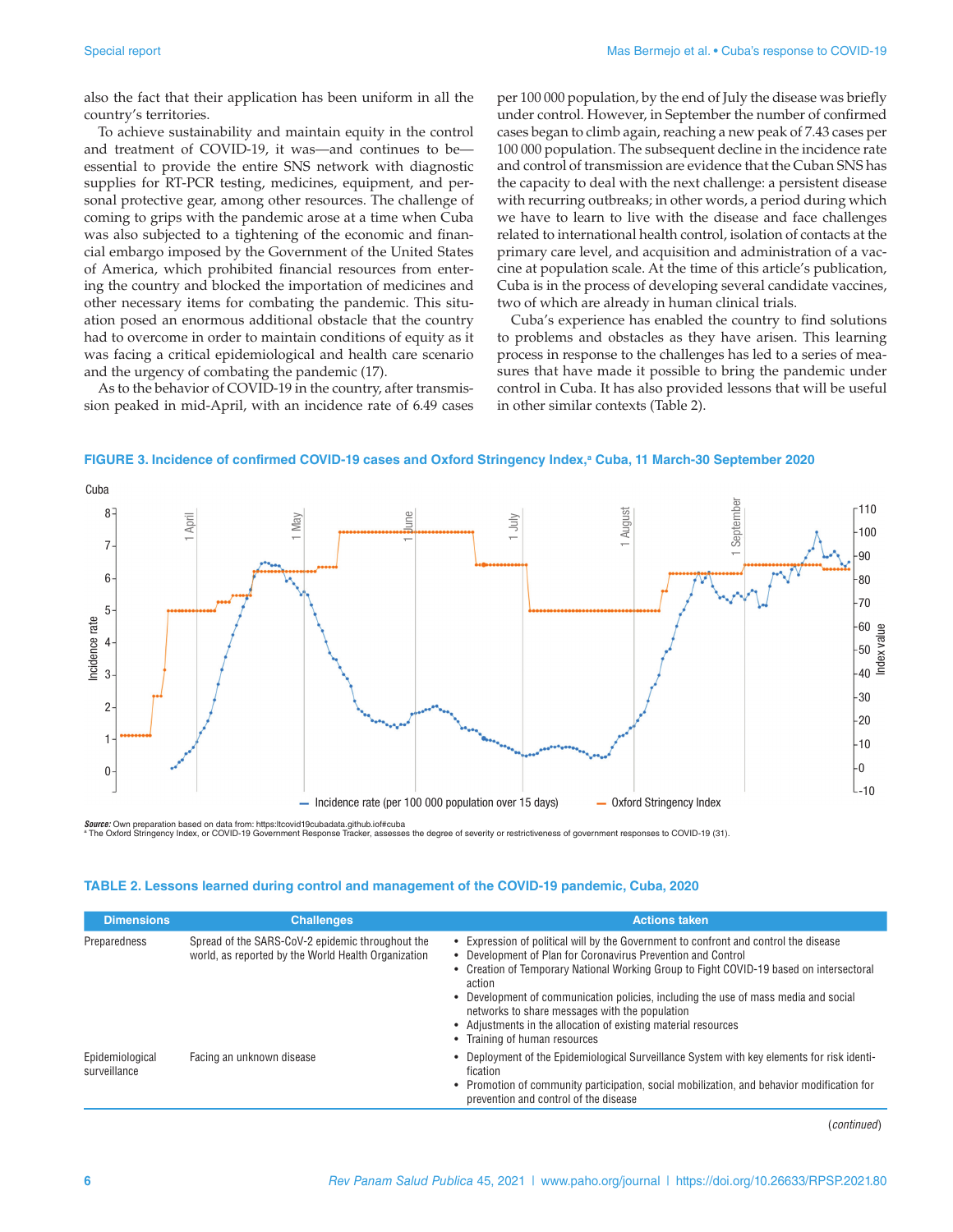also the fact that their application has been uniform in all the country's territories.

To achieve sustainability and maintain equity in the control and treatment of COVID-19, it was—and continues to be essential to provide the entire SNS network with diagnostic supplies for RT-PCR testing, medicines, equipment, and personal protective gear, among other resources. The challenge of coming to grips with the pandemic arose at a time when Cuba was also subjected to a tightening of the economic and financial embargo imposed by the Government of the United States of America, which prohibited financial resources from entering the country and blocked the importation of medicines and other necessary items for combating the pandemic. This situation posed an enormous additional obstacle that the country had to overcome in order to maintain conditions of equity as it was facing a critical epidemiological and health care scenario and the urgency of combating the pandemic (17).

As to the behavior of COVID-19 in the country, after transmission peaked in mid-April, with an incidence rate of 6.49 cases

per 100 000 population, by the end of July the disease was briefly under control. However, in September the number of confirmed cases began to climb again, reaching a new peak of 7.43 cases per 100 000 population. The subsequent decline in the incidence rate and control of transmission are evidence that the Cuban SNS has the capacity to deal with the next challenge: a persistent disease with recurring outbreaks; in other words, a period during which we have to learn to live with the disease and face challenges related to international health control, isolation of contacts at the primary care level, and acquisition and administration of a vaccine at population scale. At the time of this article's publication, Cuba is in the process of developing several candidate vaccines, two of which are already in human clinical trials.

Cuba's experience has enabled the country to find solutions to problems and obstacles as they have arisen. This learning process in response to the challenges has led to a series of measures that have made it possible to bring the pandemic under control in Cuba. It has also provided lessons that will be useful in other similar contexts (Table 2).



FIGURE 3. Incidence of confirmed COVID-19 cases and Oxford Stringency Index,<sup>a</sup> Cuba, 11 March-30 September 2020

*Source:* Own preparation based on data from: <https:ltcovid19cubadata.github.iof#cuba><br>ª The Oxford Stringency Index, or COVID-19 Government Response Tracker, assesses the degree of severity or restrictiveness of governmen

### **TABLE 2. Lessons learned during control and management of the COVID-19 pandemic, Cuba, 2020**

| <b>Dimensions</b>               | <b>Challenges</b>                                                                                       | <b>Actions taken</b>                                                                                                                                                                                                                                                                                                                                                                                                                                                                                  |
|---------------------------------|---------------------------------------------------------------------------------------------------------|-------------------------------------------------------------------------------------------------------------------------------------------------------------------------------------------------------------------------------------------------------------------------------------------------------------------------------------------------------------------------------------------------------------------------------------------------------------------------------------------------------|
| Preparedness                    | Spread of the SARS-CoV-2 epidemic throughout the<br>world, as reported by the World Health Organization | • Expression of political will by the Government to confront and control the disease<br>• Development of Plan for Coronavirus Prevention and Control<br>• Creation of Temporary National Working Group to Fight COVID-19 based on intersectoral<br>action<br>• Development of communication policies, including the use of mass media and social<br>networks to share messages with the population<br>• Adjustments in the allocation of existing material resources<br>• Training of human resources |
| Epidemiological<br>surveillance | Facing an unknown disease                                                                               | • Deployment of the Epidemiological Surveillance System with key elements for risk identi-<br>fication<br>• Promotion of community participation, social mobilization, and behavior modification for<br>prevention and control of the disease                                                                                                                                                                                                                                                         |

(*continued*)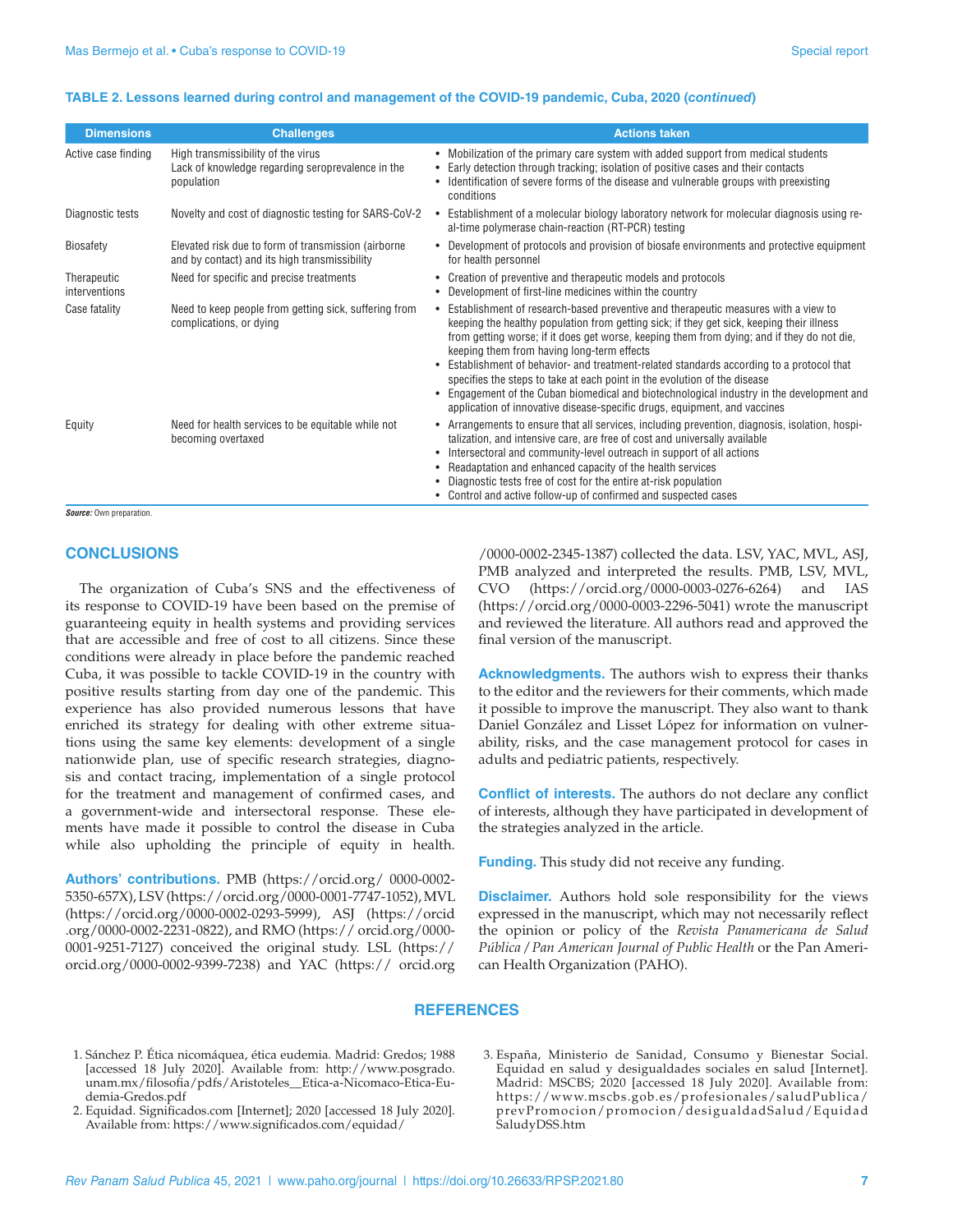#### **TABLE 2. Lessons learned during control and management of the COVID-19 pandemic, Cuba, 2020 (***continued***)**

| <b>Dimensions</b>            | <b>Challenges</b>                                                                                     | <b>Actions taken</b>                                                                                                                                                                                                                                                                                                                                                                                                                                                                                                                                                                                                                                                                       |
|------------------------------|-------------------------------------------------------------------------------------------------------|--------------------------------------------------------------------------------------------------------------------------------------------------------------------------------------------------------------------------------------------------------------------------------------------------------------------------------------------------------------------------------------------------------------------------------------------------------------------------------------------------------------------------------------------------------------------------------------------------------------------------------------------------------------------------------------------|
| Active case finding          | High transmissibility of the virus<br>Lack of knowledge regarding seroprevalence in the<br>population | • Mobilization of the primary care system with added support from medical students<br>Early detection through tracking; isolation of positive cases and their contacts<br>Identification of severe forms of the disease and vulnerable groups with preexisting<br>conditions                                                                                                                                                                                                                                                                                                                                                                                                               |
| Diagnostic tests             | Novelty and cost of diagnostic testing for SARS-CoV-2                                                 | Establishment of a molecular biology laboratory network for molecular diagnosis using re-<br>$\bullet$<br>al-time polymerase chain-reaction (RT-PCR) testing                                                                                                                                                                                                                                                                                                                                                                                                                                                                                                                               |
| <b>Biosafety</b>             | Elevated risk due to form of transmission (airborne<br>and by contact) and its high transmissibility  | Development of protocols and provision of biosafe environments and protective equipment<br>$\bullet$<br>for health personnel                                                                                                                                                                                                                                                                                                                                                                                                                                                                                                                                                               |
| Therapeutic<br>interventions | Need for specific and precise treatments                                                              | • Creation of preventive and therapeutic models and protocols<br>• Development of first-line medicines within the country                                                                                                                                                                                                                                                                                                                                                                                                                                                                                                                                                                  |
| Case fatality                | Need to keep people from getting sick, suffering from<br>complications, or dying                      | Establishment of research-based preventive and therapeutic measures with a view to<br>keeping the healthy population from getting sick; if they get sick, keeping their illness<br>from getting worse; if it does get worse, keeping them from dying; and if they do not die,<br>keeping them from having long-term effects<br>Establishment of behavior- and treatment-related standards according to a protocol that<br>$\bullet$<br>specifies the steps to take at each point in the evolution of the disease<br>• Engagement of the Cuban biomedical and biotechnological industry in the development and<br>application of innovative disease-specific drugs, equipment, and vaccines |
| Equity                       | Need for health services to be equitable while not<br>becoming overtaxed                              | • Arrangements to ensure that all services, including prevention, diagnosis, isolation, hospi-<br>talization, and intensive care, are free of cost and universally available<br>Intersectoral and community-level outreach in support of all actions<br>• Readaptation and enhanced capacity of the health services<br>Diagnostic tests free of cost for the entire at-risk population<br>• Control and active follow-up of confirmed and suspected cases                                                                                                                                                                                                                                  |

*Source:* Own preparation.

#### **CONCLUSIONS**

The organization of Cuba's SNS and the effectiveness of its response to COVID-19 have been based on the premise of guaranteeing equity in health systems and providing services that are accessible and free of cost to all citizens. Since these conditions were already in place before the pandemic reached Cuba, it was possible to tackle COVID-19 in the country with positive results starting from day one of the pandemic. This experience has also provided numerous lessons that have enriched its strategy for dealing with other extreme situations using the same key elements: development of a single nationwide plan, use of specific research strategies, diagnosis and contact tracing, implementation of a single protocol for the treatment and management of confirmed cases, and a government-wide and intersectoral response. These elements have made it possible to control the disease in Cuba while also upholding the principle of equity in health.

**Authors' contributions.** PMB ([https://orcid.org/ 0000-0002-](https://orcid.org/ 0000-0002-5350-657X) [5350-657X](https://orcid.org/ 0000-0002-5350-657X)), LSV ([https://orcid.org/0000-0001-7747-1052\)](https://orcid.org/0000-0001-7747-1052), MVL ([https://orcid.org/0000-0002-0293-5999\)](https://orcid.org/0000-0002-0293-5999), ASJ ([https://orcid](https://orcid​.o​rg/0000-0002-2231-0822) [.org/0000-0002-2231-0822](https://orcid​.o​rg/0000-0002-2231-0822)), and RMO ([https:// orcid.org/0000-](https:// orcid.org/0000-0001-9251-7127) [0001-9251-7127\)](https:// orcid.org/0000-0001-9251-7127) conceived the original study. LSL [\(https://](https://orcid.org/0000-0002-9399-7238) [orcid.org/0000-0002-9399-7238](https://orcid.org/0000-0002-9399-7238)) and YAC (https:// [orcid.org](orcid​.org)

/0000-0002-2345-1387) collected the data. LSV, YAC, MVL, ASJ, PMB analyzed and interpreted the results. PMB, LSV, MVL, CVO [\(https://orcid.org/0000-0003-0276-6264](https://orcid.org/0000-0003-0276-6264)) and IAS [\(https://orcid.org/0000-0003-2296-5041](https://orcid.org/0000-0003-2296-5041)) wrote the manuscript and reviewed the literature. All authors read and approved the final version of the manuscript.

**Acknowledgments.** The authors wish to express their thanks to the editor and the reviewers for their comments, which made it possible to improve the manuscript. They also want to thank Daniel González and Lisset López for information on vulnerability, risks, and the case management protocol for cases in adults and pediatric patients, respectively.

**Conflict of interests.** The authors do not declare any conflict of interests, although they have participated in development of the strategies analyzed in the article.

**Funding.** This study did not receive any funding.

**Disclaimer.** Authors hold sole responsibility for the views expressed in the manuscript, which may not necessarily reflect the opinion or policy of the *Revista Panamericana de Salud Pública / Pan American Journal of Public Health* or the Pan American Health Organization (PAHO).

#### **REFERENCES**

- 1. Sánchez P. Ética nicomáquea, ética eudemia*.* Madrid: Gredos; 1988 [accessed 18 July 2020]. Available from: [http://www.posgrado.](http://www.posgrado.unam.mx/filosofia/pdfs/Aristoteles__Etica-a-Nicomaco-Etica-Eudemia-Gredos.pdf) [unam.mx/filosofia/pdfs/Aristoteles\\_\\_Etica-a-Nicomaco-Etica-Eu](http://www.posgrado.unam.mx/filosofia/pdfs/Aristoteles__Etica-a-Nicomaco-Etica-Eudemia-Gredos.pdf)[demia-Gredos.pdf](http://www.posgrado.unam.mx/filosofia/pdfs/Aristoteles__Etica-a-Nicomaco-Etica-Eudemia-Gredos.pdf)
- 2. Equidad. <Significados.com>[Internet]; 2020 [accessed 18 July 2020]. Available from:<https://www.significados.com/equidad/>
- 3. España, Ministerio de Sanidad, Consumo y Bienestar Social. Equidad en salud y desigualdades sociales en salud [Internet]. Madrid: MSCBS; 2020 [accessed 18 July 2020]. Available from: [https://www.mscbs.gob.es/profesionales/saludPublica/](https://www.mscbs.gob.es/profesionales/saludPublica/prevPromocion/promocion/desigualdadSalud/EquidadSaludyDSS.htm) [prevPromocion/promocion/desigualdadSalud/Equidad](https://www.mscbs.gob.es/profesionales/saludPublica/prevPromocion/promocion/desigualdadSalud/EquidadSaludyDSS.htm) [SaludyDSS.htm](https://www.mscbs.gob.es/profesionales/saludPublica/prevPromocion/promocion/desigualdadSalud/EquidadSaludyDSS.htm)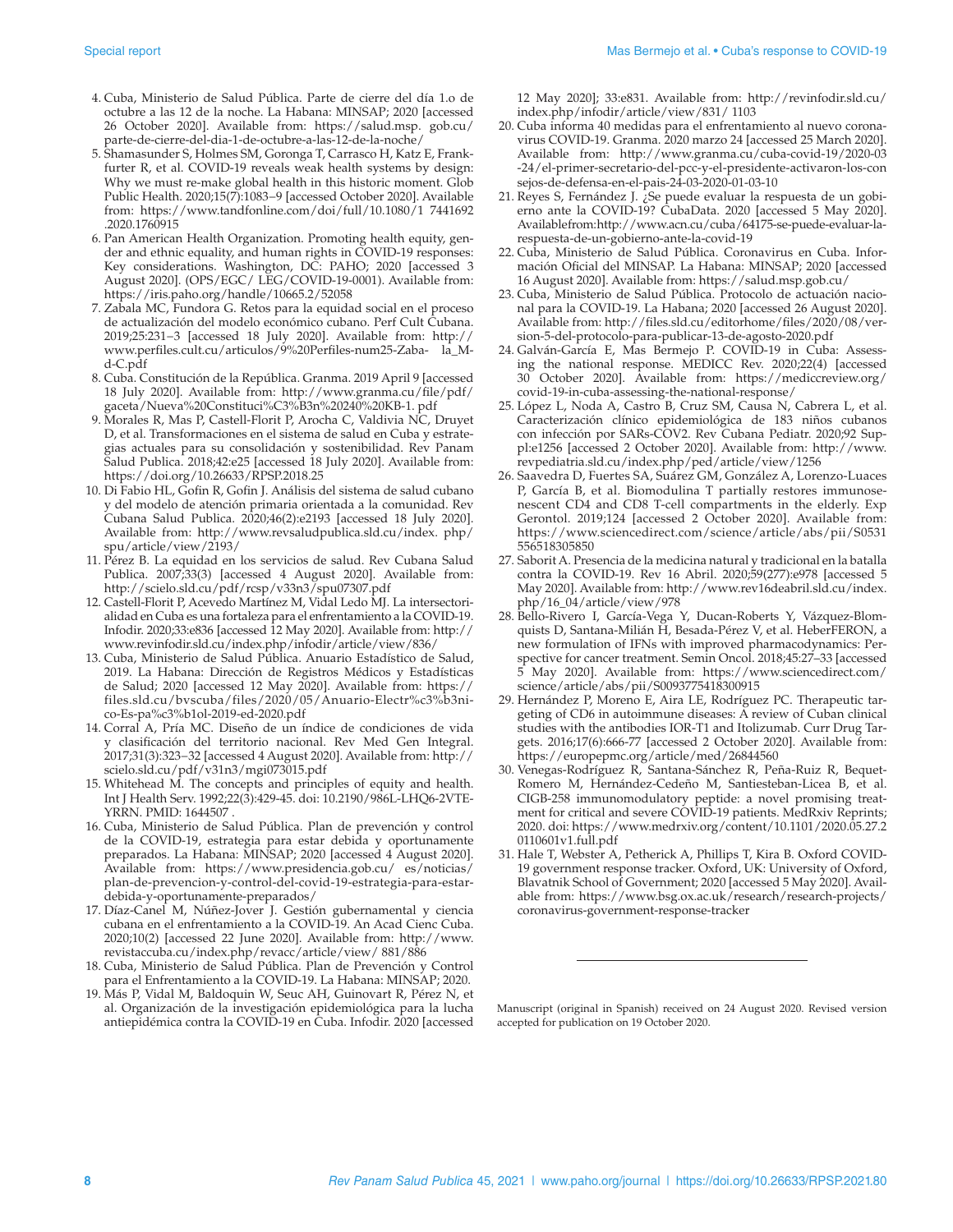- 4. Cuba, Ministerio de Salud Pública. Parte de cierre del día 1.o de octubre a las 12 de la noche. La Habana: MINSAP; 2020 [accessed 26 October 2020]. Available from: [https://salud.msp. gob.cu/](https://salud.msp. gob.cu/parte-de-cierre-del-dia-1-de-octubre-a-las-12-de-la-noche/) [parte-de-cierre-del-dia-1-de-octubre-a-las-12-de-la-noche/](https://salud.msp. gob.cu/parte-de-cierre-del-dia-1-de-octubre-a-las-12-de-la-noche/)
- 5. Shamasunder S, Holmes SM, Goronga T, Carrasco H, Katz E, Frankfurter R, et al. COVID-19 reveals weak health systems by design: Why we must re-make global health in this historic moment. Glob Public Health. 2020;15(7):1083−9 [accessed October 2020]. Available from: [https://www.tandfonline.com/doi/full/10.1080/1 7441692](https://www.tandfonline.com/doi/full/10.1080/1 7441692.2020.1760915) [.2020.1760915](https://www.tandfonline.com/doi/full/10.1080/1 7441692.2020.1760915)
- 6. Pan American Health Organization. Promoting health equity, gender and ethnic equality, and human rights in COVID-19 responses: Key considerations. Washington, DC: PAHO; 2020 [accessed 3 August 2020]. (OPS/EGC/ LEG/COVID-19-0001). Available from: <https://iris.paho.org/handle/10665.2/52058>
- 7. Zabala MC, Fundora G. Retos para la equidad social en el proceso de actualización del modelo económico cubano. Perf Cult Cubana. 2019;25:231−3 [accessed 18 July 2020]. Available from: [http://](http://www.perfiles.cult.cu/articulos/9%20Perfiles-num25-Zaba- la_M-d-C.pdf) [www.perfiles.cult.cu/articulos/9%20Perfiles-num25-Zaba- la\\_M](http://www.perfiles.cult.cu/articulos/9%20Perfiles-num25-Zaba- la_M-d-C.pdf)[d-C.pdf](http://www.perfiles.cult.cu/articulos/9%20Perfiles-num25-Zaba- la_M-d-C.pdf)
- 8. Cuba. Constitución de la República. Granma. 2019 April 9 [accessed 18 July 2020]. Available from: [http://www.granma.cu/file/pdf/](http://www.granma.cu/file/pdf/gaceta/Nueva%20Constituci%C3%B3n%20240%20KB-1. pdf) [gaceta/Nueva%20Constituci%C3%B3n%20240%20KB-1. pdf](http://www.granma.cu/file/pdf/gaceta/Nueva%20Constituci%C3%B3n%20240%20KB-1. pdf)
- 9. Morales R, Mas P, Castell-Florit P, Arocha C, Valdivia NC, Druyet D, et al. Transformaciones en el sistema de salud en Cuba y estrategias actuales para su consolidación y sostenibilidad. Rev Panam Salud Publica. 2018;42:e25 [accessed 18 July 2020]. Available from: <https://doi.org/10.26633/RPSP.2018.25>
- 10. Di Fabio HL, Gofin R, Gofin J. Análisis del sistema de salud cubano y del modelo de atención primaria orientada a la comunidad. Rev Cubana Salud Publica. 2020;46(2):e2193 [accessed 18 July 2020]. Available from: [http://www.revsaludpublica.sld.cu/index. php/](http://www.revsaludpublica.sld.cu/index. php/spu/article/view/2193/) [spu/article/view/2193/](http://www.revsaludpublica.sld.cu/index. php/spu/article/view/2193/)
- 11. Pérez B. La equidad en los servicios de salud. Rev Cubana Salud Publica. 2007;33(3) [accessed 4 August 2020]. Available from: <http://scielo.sld.cu/pdf/rcsp/v33n3/spu07307.pdf>
- 12. Castell-Florit P, Acevedo Martínez M, Vidal Ledo MJ. La intersectorialidad en Cuba es una fortaleza para el enfrentamiento a la COVID-19. Infodir. 2020;33:e836 [accessed 12 May 2020]. Available from: [http://](http://www.revinfodir.sld.cu/index.php/infodir/article/view/836/) [www.revinfodir.sld.cu/index.php/infodir/article/view/836/](http://www.revinfodir.sld.cu/index.php/infodir/article/view/836/)
- 13. Cuba, Ministerio de Salud Pública. Anuario Estadístico de Salud, 2019. La Habana: Dirección de Registros Médicos y Estadísticas de Salud; 2020 [accessed 12 May 2020]. Available from: [https://](https://files.sld.cu/bvscuba/files/2020/05/Anuario-Electr%c3%b3nico-Es-pa%c3%b1ol-2019-ed-2020.pdf) [files.sld.cu/bvscuba/files/2020/05/Anuario-Electr%c3%b3ni](https://files.sld.cu/bvscuba/files/2020/05/Anuario-Electr%c3%b3nico-Es-pa%c3%b1ol-2019-ed-2020.pdf)[co-Es-pa%c3%b1ol-2019-ed-2020.pdf](https://files.sld.cu/bvscuba/files/2020/05/Anuario-Electr%c3%b3nico-Es-pa%c3%b1ol-2019-ed-2020.pdf)
- 14. Corral A, Pría MC. Diseño de un índice de condiciones de vida y clasificación del territorio nacional. Rev Med Gen Integral. 2017;31(3):323−32 [accessed 4 August 2020]. Available from: [http://](http://scielo.sld.cu/pdf/v31n3/mgi073015.pdf) [scielo.sld.cu/pdf/v31n3/mgi073015.pdf](http://scielo.sld.cu/pdf/v31n3/mgi073015.pdf)
- 15. Whitehead M. The concepts and principles of equity and health. Int J Health Serv. 1992;22(3):429-45. doi: 10.2190/986L-LHQ6-2VTE-YRRN. PMID: 1644507 .
- 16. Cuba, Ministerio de Salud Pública. Plan de prevención y control de la COVID-19, estrategia para estar debida y oportunamente preparados. La Habana: MINSAP; 2020 [accessed 4 August 2020]. Available from: [https://www.presidencia.gob.cu/ es/noticias/](https://www.presidencia.gob.cu/ es/noticias/plan-de-prevencion-y-control-del-covid-19-estrategia-para-estar-debida-y-oportunamente-preparados/) [plan-de-prevencion-y-control-del-covid-19-estrategia-para-estar](https://www.presidencia.gob.cu/ es/noticias/plan-de-prevencion-y-control-del-covid-19-estrategia-para-estar-debida-y-oportunamente-preparados/)[debida-y-oportunamente-preparados/](https://www.presidencia.gob.cu/ es/noticias/plan-de-prevencion-y-control-del-covid-19-estrategia-para-estar-debida-y-oportunamente-preparados/)
- 17. Díaz-Canel M, Núñez-Jover J. Gestión gubernamental y ciencia cubana en el enfrentamiento a la COVID-19. An Acad Cienc Cuba. 2020;10(2) [accessed 22 June 2020]. Available from: [http://www.](http://www.revistaccuba.cu/index.php/revacc/article/view/ 881/886) [revistaccuba.cu/index.php/revacc/article/view/ 881/886](http://www.revistaccuba.cu/index.php/revacc/article/view/ 881/886)
- 18. Cuba, Ministerio de Salud Pública. Plan de Prevención y Control para el Enfrentamiento a la COVID-19. La Habana: MINSAP; 2020.
- 19. Más P, Vidal M, Baldoquin W, Seuc AH, Guinovart R, Pérez N, et al. Organización de la investigación epidemiológica para la lucha antiepidémica contra la COVID-19 en Cuba. Infodir. 2020 [accessed

12 May 2020]; 33:e831. Available from: [http://revinfodir.sld.cu/](http://revinfodir.sld.cu/index.php/infodir/article/view/831/ 1103) [index.php/infodir/article/view/831/ 1103](http://revinfodir.sld.cu/index.php/infodir/article/view/831/ 1103)

- 20. Cuba informa 40 medidas para el enfrentamiento al nuevo coronavirus COVID-19. Granma. 2020 marzo 24 [accessed 25 March 2020]. Available from: [http://www.granma.cu/cuba-covid-19/2020-03](http://www.granma.cu/cuba​-​covid​-19/20​20​-03​-24​/​el-primer-secretario-del-pcc-y-el-presidente-activaron-​los-con​sej​os​-de-​defensa-en-el-pais-24-03-20​20-01-​03-10) [-24/el-primer-secretario-del-pcc-y-el-presidente-activaron-los-con](http://www.granma.cu/cuba​-​covid​-19/20​20​-03​-24​/​el-primer-secretario-del-pcc-y-el-presidente-activaron-​los-con​sej​os​-de-​defensa-en-el-pais-24-03-20​20-01-​03-10) [sejos-de-defensa-en-el-pais-24-03-2020-01-03-10](http://www.granma.cu/cuba​-​covid​-19/20​20​-03​-24​/​el-primer-secretario-del-pcc-y-el-presidente-activaron-​los-con​sej​os​-de-​defensa-en-el-pais-24-03-20​20-01-​03-10)
- 21. Reyes S, Fernández J. ¿Se puede evaluar la respuesta de un gobierno ante la COVID-19? CubaData. 2020 [accessed 5 May 2020]. Available from: [http://www.acn.cu/cuba/64175-se-puede-evaluar-la](http://www.acn.cu/cuba/64175-se-puede-evaluar- la-respuesta-de-un-gobierno-ante-la-covid-19)[respuesta-de-un-gobierno-ante-la-covid-19](http://www.acn.cu/cuba/64175-se-puede-evaluar- la-respuesta-de-un-gobierno-ante-la-covid-19)
- 22. Cuba, Ministerio de Salud Pública. Coronavirus en Cuba. Información Oficial del MINSAP. La Habana: MINSAP; 2020 [accessed 16 August 2020]. Available from:<https://salud.msp.gob.cu/>
- 23. Cuba, Ministerio de Salud Pública. Protocolo de actuación nacional para la COVID-19. La Habana; 2020 [accessed 26 August 2020]. Available from: [http://files.sld.cu/editorhome/files/2020/08/ver](http://files.sld.cu/editorhome/files/2020/08/version-5-del-protocolo-para-publicar-13-de-agosto-2020.pdf)[sion-5-del-protocolo-para-publicar-13-de-agosto-2020.pdf](http://files.sld.cu/editorhome/files/2020/08/version-5-del-protocolo-para-publicar-13-de-agosto-2020.pdf)
- 24. Galván-García E, Mas Bermejo P. COVID-19 in Cuba: Assessing the national response. MEDICC Rev. 2020;22(4) [accessed 30 October 2020]. Available from: [https://mediccreview.org/](https://mediccreview.org/covid-19-in-cuba-assessing-the-national-response/) [covid-19-in-cuba-assessing-the-national-response/](https://mediccreview.org/covid-19-in-cuba-assessing-the-national-response/)
- 25. López L, Noda A, Castro B, Cruz SM, Causa N, Cabrera L, et al. Caracterización clínico epidemiológica de 183 niños cubanos con infección por SARs-COV2. Rev Cubana Pediatr. 2020;92 Suppl:e1256 [accessed 2 October 2020]. Available from: [http://www.](http://www.revpediatria.sld.cu/index.php/ped/article/view/1256) [revpediatria.sld.cu/index.php/ped/article/view/1256](http://www.revpediatria.sld.cu/index.php/ped/article/view/1256)
- 26. Saavedra D, Fuertes SA, Suárez GM, González A, Lorenzo-Luaces P, García B, et al. Biomodulina T partially restores immunosenescent CD4 and CD8 T-cell compartments in the elderly. Exp Gerontol. 2019;124 [accessed 2 October 2020]. Available from: [https://www.sciencedirect.com/science/article/abs/pii/S0531](https://www.sciencedirect.com/science/article/abs/pii/S053​1​5​5​6​518305850) [556518305850](https://www.sciencedirect.com/science/article/abs/pii/S053​1​5​5​6​518305850)
- 27. Saborit A. Presencia de la medicina natural y tradicional en la batalla contra la COVID-19. Rev 16 Abril. 2020;59(277):e978 [accessed 5 May 2020]. Available from: [http://www.rev16deabril.sld.cu/index.](http://www.rev16deabril.sld.cu/index.php/16_04/article/view/978) [php/16\\_04/article/view/978](http://www.rev16deabril.sld.cu/index.php/16_04/article/view/978)
- 28. Bello-Rivero I, García-Vega Y, Ducan-Roberts Y, Vázquez-Blomquists D, Santana-Milián H, Besada-Pérez V, et al. HeberFERON, a new formulation of IFNs with improved pharmacodynamics: Perspective for cancer treatment. Semin Oncol. 2018;45:27–33 [accessed 5 May 2020]. Available from: [https://www.sciencedirect.com/](https://www.sciencedirect.com/science/article/abs/pii/S0093775418300915) [science/article/abs/pii/S0093775418300915](https://www.sciencedirect.com/science/article/abs/pii/S0093775418300915)
- 29. Hernández P, Moreno E, Aira LE, Rodríguez PC. Therapeutic targeting of CD6 in autoimmune diseases: A review of Cuban clinical studies with the antibodies IOR-T1 and Itolizumab. Curr Drug Targets. 2016;17(6):666-77 [accessed 2 October 2020]. Available from: <https://europepmc.org/article/med/26844560>
- 30. Venegas-Rodríguez R, Santana-Sánchez R, Peña-Ruiz R, Bequet-Romero M, Hernández-Cedeño M, Santiesteban-Licea B, et al. CIGB-258 immunomodulatory peptide: a novel promising treatment for critical and severe COVID-19 patients. MedRxiv Reprints; 2020. doi: [https://www.medrxiv.org/content/10.1101/2020.05.27.2](https://www.medrxiv.org/content/10.1101/2020.05.27.20110601v1.full.pdf) [0110601v1.full.pdf](https://www.medrxiv.org/content/10.1101/2020.05.27.20110601v1.full.pdf)
- 31. Hale T, Webster A, Petherick A, Phillips T, Kira B. Oxford COVID-19 government response tracker. Oxford, UK: University of Oxford, Blavatnik School of Government; 2020 [accessed 5 May 2020]. Available from: [https://www.bsg.ox.ac.uk/research/research-projects/](https://www.bsg.ox.ac.uk/research/research-projects/coronavirus-government-response-tracker) [coronavirus-government-response-tracker](https://www.bsg.ox.ac.uk/research/research-projects/coronavirus-government-response-tracker)

Manuscript (original in Spanish) received on 24 August 2020. Revised version accepted for publication on 19 October 2020.